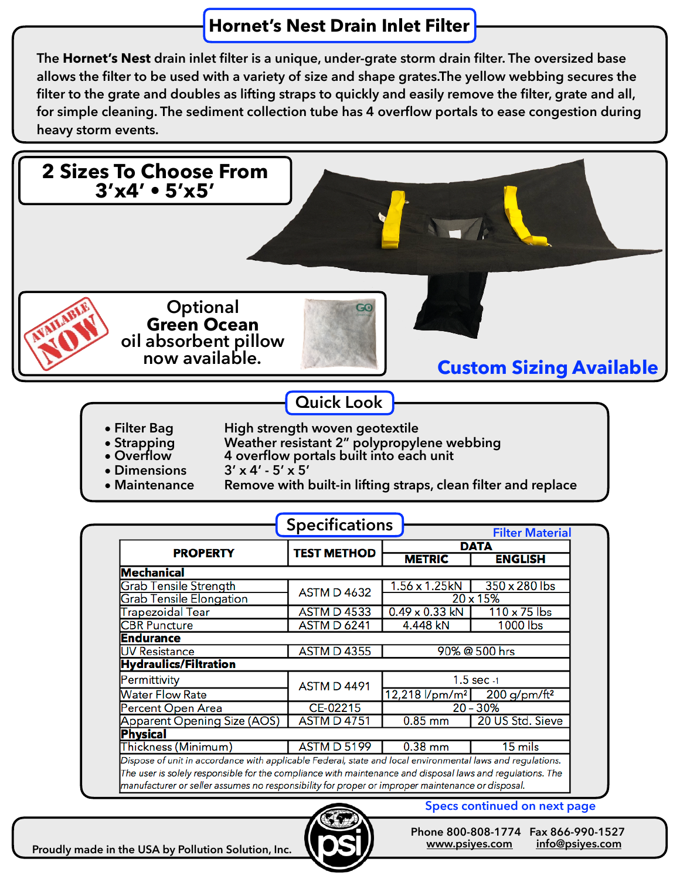## **Hornet's Nest Drain Inlet Filter**

**The Hornet's Nest drain inlet filter is a unique, under-grate storm drain filter. The oversized base allows the filter to be used with a variety of size and shape grates.The yellow webbing secures the filter to the grate and doubles as lifting straps to quickly and easily remove the filter, grate and all, for simple cleaning. The sediment collection tube has 4 overflow portals to ease congestion during heavy storm events.** 



| <b>ASTM D 4533</b> | $0.49 \times 0.33$ kN                                 | $110 \times 75$ lbs                                                                                                                                                                                                                                                                                                         |
|--------------------|-------------------------------------------------------|-----------------------------------------------------------------------------------------------------------------------------------------------------------------------------------------------------------------------------------------------------------------------------------------------------------------------------|
| <b>ASTM D 6241</b> | 4.448 kN                                              | 1000 lbs                                                                                                                                                                                                                                                                                                                    |
|                    |                                                       |                                                                                                                                                                                                                                                                                                                             |
| <b>ASTM D 4355</b> | 90% @ 500 hrs                                         |                                                                                                                                                                                                                                                                                                                             |
|                    |                                                       |                                                                                                                                                                                                                                                                                                                             |
|                    | $1.5$ sec $-1$                                        |                                                                                                                                                                                                                                                                                                                             |
|                    | $12,218$ l/pm/m <sup>2</sup> 200 g/pm/ft <sup>2</sup> |                                                                                                                                                                                                                                                                                                                             |
| CE-02215           | $20 - 30%$                                            |                                                                                                                                                                                                                                                                                                                             |
| <b>ASTM D 4751</b> | $0.85$ mm                                             | 20 US Std. Sieve                                                                                                                                                                                                                                                                                                            |
|                    |                                                       |                                                                                                                                                                                                                                                                                                                             |
| <b>ASTM D 5199</b> | $0.38$ mm                                             | $15$ mils                                                                                                                                                                                                                                                                                                                   |
|                    |                                                       |                                                                                                                                                                                                                                                                                                                             |
|                    |                                                       |                                                                                                                                                                                                                                                                                                                             |
|                    |                                                       |                                                                                                                                                                                                                                                                                                                             |
|                    | <b>ASTM D 4491</b>                                    | Dispose of unit in accordance with applicable Federal, state and local environmental laws and regulations.<br>The user is solely responsible for the compliance with maintenance and disposal laws and regulations. The<br>manufacturer or seller assumes no responsibility for proper or improper maintenance or disposal. |



**Specs continued on next page**

**Phone 800-808-1774 Fax 866-990-1527 [www.psiyes.com](http://www.psiyes.com) [info@psiyes.com](mailto:info@psiyes.com)**